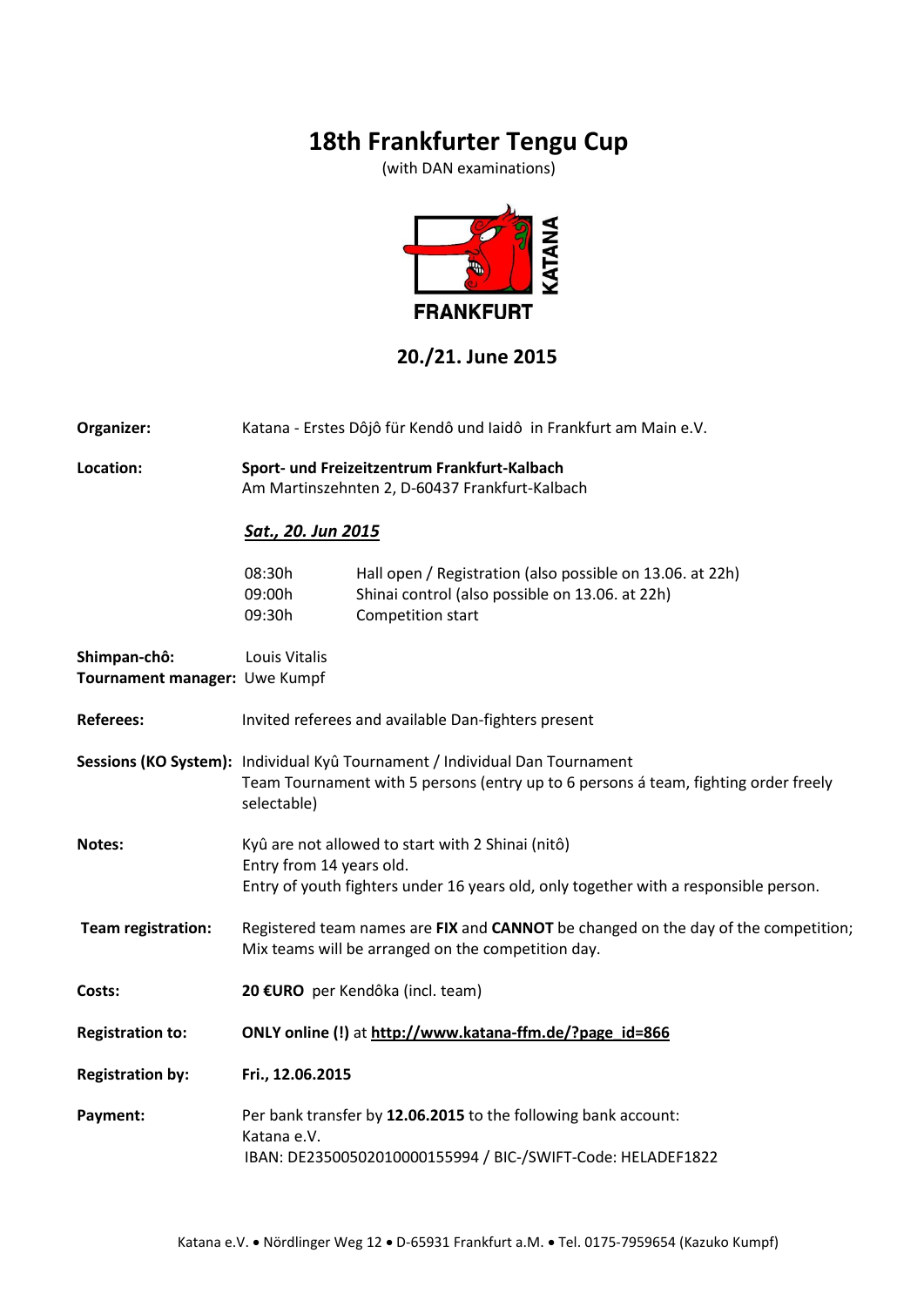# **18th Frankfurter Tengu Cup**

(with DAN examinations)



## **20./21. June 2015**

**Organizer:** Katana - Erstes Dôjô für Kendô und Iaidô in Frankfurt am Main e.V.

**Location: Sport- und Freizeitzentrum Frankfurt-Kalbach**  Am Martinszehnten 2, D-60437 Frankfurt-Kalbach

#### *Sat., 20. Jun 2015*

| 08:30h | Hall open / Registration (also possible on 13.06. at 22h) |
|--------|-----------------------------------------------------------|
| 09:00h | Shinai control (also possible on 13.06. at 22h)           |
| 09:30h | Competition start                                         |

| Shimpan-chô:                  | Louis Vitalis                                                                                                                                                                     |  |  |
|-------------------------------|-----------------------------------------------------------------------------------------------------------------------------------------------------------------------------------|--|--|
| Tournament manager: Uwe Kumpf |                                                                                                                                                                                   |  |  |
| <b>Referees:</b>              | Invited referees and available Dan-fighters present                                                                                                                               |  |  |
|                               | Sessions (KO System): Individual Kyû Tournament / Individual Dan Tournament<br>Team Tournament with 5 persons (entry up to 6 persons á team, fighting order freely<br>selectable) |  |  |
| Notes:                        | Kyû are not allowed to start with 2 Shinai (nitô)<br>Entry from 14 years old.<br>Entry of youth fighters under 16 years old, only together with a responsible person.             |  |  |
| Team registration:            | Registered team names are FIX and CANNOT be changed on the day of the competition;<br>Mix teams will be arranged on the competition day.                                          |  |  |
| Costs:                        | 20 €URO per Kendôka (incl. team)                                                                                                                                                  |  |  |
| <b>Registration to:</b>       | ONLY online (!) at http://www.katana-ffm.de/?page_id=866                                                                                                                          |  |  |
| <b>Registration by:</b>       | Fri., 12.06.2015                                                                                                                                                                  |  |  |
| Payment:                      | Per bank transfer by 12.06.2015 to the following bank account:<br>Katana e.V.<br>IBAN: DE23500502010000155994 / BIC-/SWIFT-Code: HELADEF1822                                      |  |  |